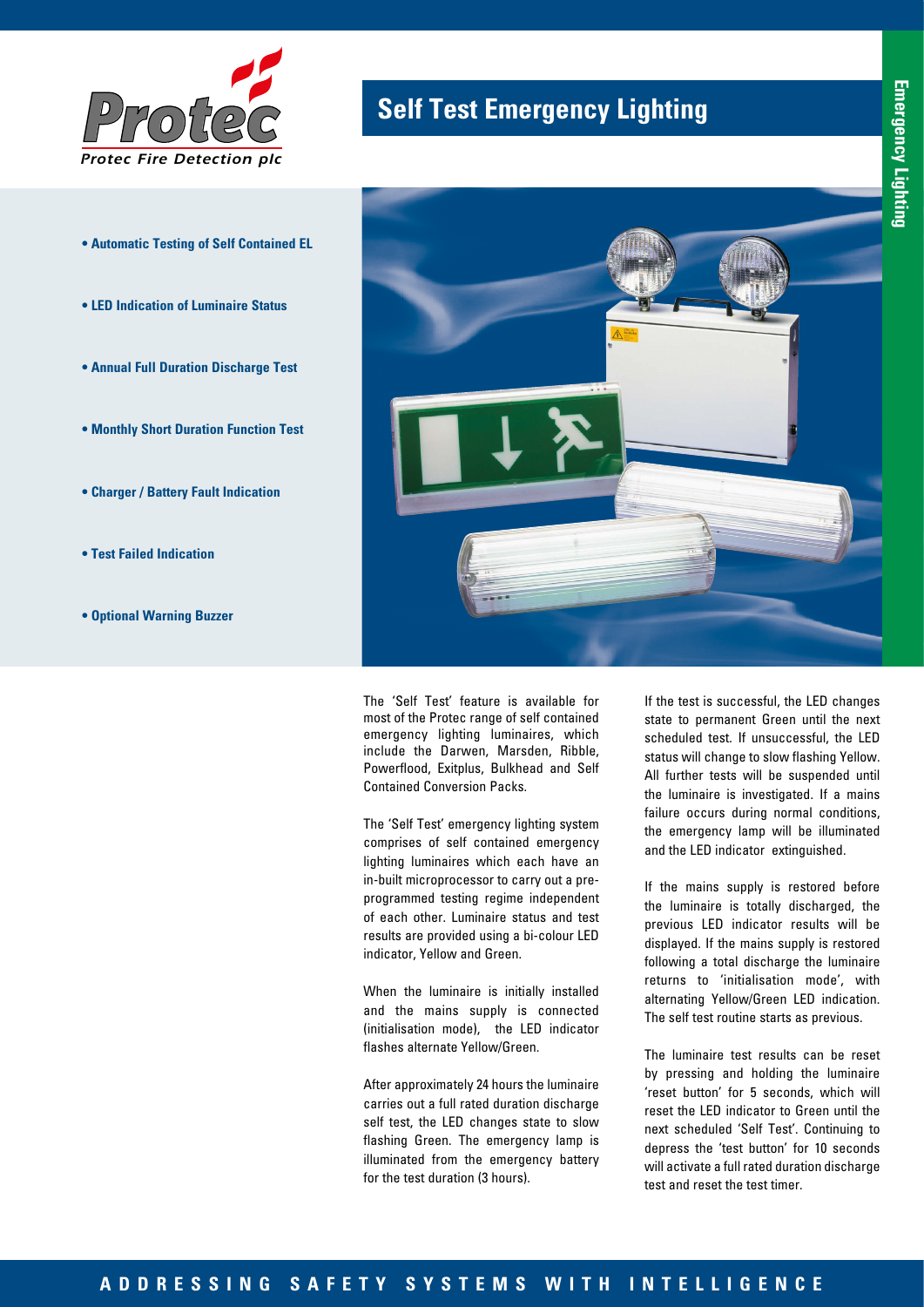

- **Automatic Testing of Self Contained EL**
- **LED Indication of Luminaire Status**
- **Annual Full Duration Discharge Test**
- **Monthly Short Duration Function Test**
- **Charger / Battery Fault Indication**
- **Test Failed Indication**
- **Optional Warning Buzzer**

# **Self Test Emergency Lighting**



The 'Self Test' feature is available for most of the Protec range of self contained emergency lighting luminaires, which include the Darwen, Marsden, Ribble, Powerflood, Exitplus, Bulkhead and Self Contained Conversion Packs.

The 'Self Test' emergency lighting system comprises of self contained emergency lighting luminaires which each have an in-built microprocessor to carry out a preprogrammed testing regime independent of each other. Luminaire status and test results are provided using a bi-colour LED indicator, Yellow and Green.

When the luminaire is initially installed and the mains supply is connected (initialisation mode), the LED indicator flashes alternate Yellow/Green.

After approximately 24 hours the luminaire carries out a full rated duration discharge self test, the LED changes state to slow flashing Green. The emergency lamp is illuminated from the emergency battery for the test duration (3 hours).

If the test is successful, the LED changes state to permanent Green until the next scheduled test. If unsuccessful, the LED status will change to slow flashing Yellow. All further tests will be suspended until the luminaire is investigated. If a mains failure occurs during normal conditions, the emergency lamp will be illuminated and the LED indicator extinguished.

If the mains supply is restored before the luminaire is totally discharged, the previous LED indicator results will be displayed. If the mains supply is restored following a total discharge the luminaire returns to 'initialisation mode', with alternating Yellow/Green LED indication. The self test routine starts as previous.

The luminaire test results can be reset by pressing and holding the luminaire 'reset button' for 5 seconds, which will reset the LED indicator to Green until the next scheduled 'Self Test'. Continuing to depress the 'test button' for 10 seconds will activate a full rated duration discharge test and reset the test timer.